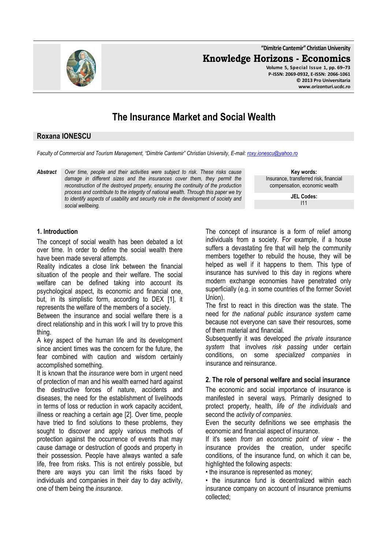**"Dimitrie Cantemir" Christian University Knowledge Horizons - Economics Volume 5, Special Issue 1, pp. 69–73 P-ISSN: 2069-0932, E-ISSN: 2066-1061 © 2013 Pro Universitaria** 

# **The Insurance Market and Social Wealth**

### **Roxana IONESCU**

*Faculty of Commercial and Tourism Management, "Dimitrie Cantemir" Christian University, E-mail: roxy.ionescu@yahoo.ro*

*Abstract Over time, people and their activities were subject to risk. These risks cause damage in different sizes and the insurances cover them, they permit the reconstruction of the destroyed property, ensuring the continuity of the production process and contribute to the integrity of national wealth. Through this paper we try to identify aspects of usability and security role in the development of society and social wellbeing.* 

**Key words:** Insurance, transferred risk, financial compensation, economic wealth

**www.orizonturi.ucdc.ro**

**JEL Codes:** I11

## **1. Introduction**

The concept of social wealth has been debated a lot over time. In order to define the social wealth there have been made several attempts.

Reality indicates a close link between the financial situation of the people and their welfare. The social welfare can be defined taking into account its psychological aspect, its economic and financial one, but, in its simplistic form, according to DEX [1], it represents the welfare of the members of a society.

Between the insurance and social welfare there is a direct relationship and in this work I will try to prove this thing.

A key aspect of the human life and its development since ancient times was the concern for the future, the fear combined with caution and wisdom certainly accomplished something.

It is known that the *insurance* were born in urgent need of protection of man and his wealth earned hard against the destructive forces of nature, accidents and diseases, the need for the establishment of livelihoods in terms of loss or reduction in work capacity accident, illness or reaching a certain age [2]. Over time, people have tried to find solutions to these problems, they sought to discover and apply various methods of protection against the occurrence of events that may cause damage or destruction of goods and property in their possession. People have always wanted a safe life, free from risks. This is not entirely possible, but there are ways you can limit the risks faced by individuals and companies in their day to day activity, one of them being the *insurance*.

The concept of insurance is a form of relief among individuals from a society. For example, if a house suffers a devastating fire that will help the community members together to rebuild the house, they will be helped as well if it happens to them. This type of insurance has survived to this day in regions where modern exchange economies have penetrated only superficially (e.g. in some countries of the former Soviet Union).

The first to react in this direction was the state. The need for *the national public insurance system* came because not everyone can save their resources, some of them material and financial.

Subsequently it was developed *the private insurance system* that involves *risk passing* under certain conditions, on some *specialized companies* in insurance and reinsurance.

#### **2. The role of personal welfare and social insurance**

The economic and social importance of insurance is manifested in several ways. Primarily designed to protect property, health, *life of the individuals* and second the *activity of companies*.

Even the security definitions we see emphasis the economic and financial aspect of insurance.

If it's seen *from an economic point of view* - the insurance provides the creation, under specific conditions, of the insurance fund, on which it can be, highlighted the following aspects:

• the insurance is represented as money;

• the insurance fund is decentralized within each insurance company on account of insurance premiums collected;

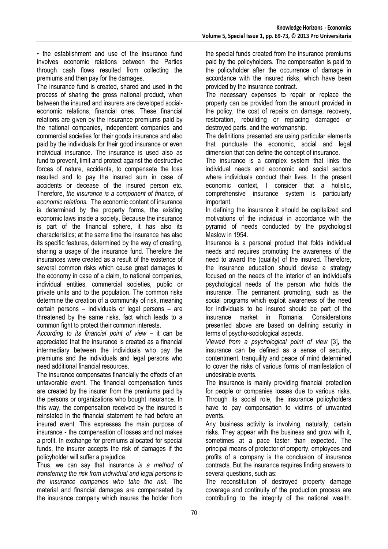• the establishment and use of the insurance fund involves economic relations between the Parties through cash flows resulted from collecting the premiums and then pay for the damages.

The insurance fund is created, shared and used in the process of sharing the gross national product, when between the insured and insurers are developed socialeconomic relations, financial ones. These financial relations are given by the insurance premiums paid by the national companies, independent companies and commercial societies for their goods insurance and also paid by the individuals for their good insurance or even individual insurance. The insurance is used also as fund to prevent, limit and protect against the destructive forces of nature, accidents, to compensate the loss resulted and to pay the insured sum in case of accidents or decease of the insured person etc. Therefore, *the insurance is a component of finance, of economic relations.* The economic content of insurance is determined by the property forms, the existing economic laws inside a society. Because the insurance is part of the financial sphere, it has also its characteristics; at the same time the insurance has also its specific features, determined by the way of creating, sharing a usage of the insurance fund. Therefore the insurances were created as a result of the existence of several common risks which cause great damages to the economy in case of a claim, to national companies, individual entities, commercial societies, public or private units and to the population. The common risks determine the creation of a community of risk, meaning certain persons – individuals or legal persons – are threatened by the same risks, fact which leads to a common fight to protect their common interests.

*According to its financial point of view* – it can be appreciated that the insurance is created as a financial intermediary between the individuals who pay the premiums and the individuals and legal persons who need additional financial resources.

The insurance compensates financially the effects of an unfavorable event. The financial compensation funds are created by the insurer from the premiums paid by the persons or organizations who bought insurance. In this way, the compensation received by the insured is reinstated in the financial statement he had before an insured event. This expresses the main purpose of insurance - the compensation of losses and not makes a profit. In exchange for premiums allocated for special funds, the insurer accepts the risk of damages if the policyholder will suffer a prejudice.

Thus, we can say that insurance *is a method of transferring the risk from individual and legal persons to the insurance companies who take the risk*. The material and financial damages are compensated by the insurance company which insures the holder from

the special funds created from the insurance premiums paid by the policyholders. The compensation is paid to the policyholder after the occurrence of damage in accordance with the insured risks, which have been provided by the insurance contract.

The necessary expenses to repair or replace the property can be provided from the amount provided in the policy, the cost of repairs on damage, recovery, restoration, rebuilding or replacing damaged or destroyed parts, and the workmanship.

The definitions presented are using particular elements that punctuate the economic, social and legal dimension that can define the concept of insurance.

The insurance is a complex system that links the individual needs and economic and social sectors where individuals conduct their lives. In the present economic context, I consider that a holistic, comprehensive insurance system is particularly important.

In defining the insurance it should be capitalized and motivations of the individual in accordance with the pyramid of needs conducted by the psychologist Maslow in 1954.

Insurance is a personal product that folds individual needs and requires promoting the awareness of the need to award the (quality) of the insured. Therefore, the insurance education should devise a strategy focused on the needs of the interior of an individual's psychological needs of the person who holds the insurance. The permanent promoting, such as the social programs which exploit awareness of the need for individuals to be insured should be part of the insurance market in Romania. Considerations presented above are based on defining security in terms of psycho-sociological aspects.

*Viewed from a psychological point of view* [3]*,* the insurance can be defined as a sense of security, contentment, tranquility and peace of mind determined to cover the risks of various forms of manifestation of undesirable events.

The insurance is mainly providing financial protection for people or companies losses due to various risks. Through its social role, the insurance policyholders have to pay compensation to victims of unwanted events.

Any business activity is involving, naturally, certain risks. They appear with the business and grow with it. sometimes at a pace faster than expected. The principal means of protector of property, employees and profits of a company is the conclusion of insurance contracts. But the insurance requires finding answers to several questions, such as:

The reconstitution of destroyed property damage coverage and continuity of the production process are contributing to the integrity of the national wealth.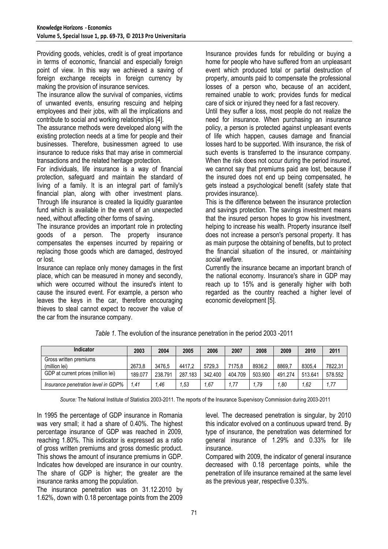Providing goods, vehicles, credit is of great importance in terms of economic, financial and especially foreign point of view. In this way we achieved a saving of foreign exchange receipts in foreign currency by making the provision of insurance services.

The insurance allow the survival of companies, victims of unwanted events, ensuring rescuing and helping employees and their jobs, with all the implications and contribute to social and working relationships [4].

The assurance methods were developed along with the existing protection needs at a time for people and their businesses. Therefore, businessmen agreed to use insurance to reduce risks that may arise in commercial transactions and the related heritage protection.

For individuals, life insurance is a way of financial protection, safeguard and maintain the standard of living of a family. It is an integral part of family's financial plan, along with other investment plans. Through life insurance is created la liquidity guarantee fund which is available in the event of an unexpected need, without affecting other forms of saving.

The insurance provides an important role in protecting goods of a person. The property insurance compensates the expenses incurred by repairing or replacing those goods which are damaged, destroyed or lost.

Insurance can replace only money damages in the first place, which can be measured in money and secondly, which were occurred without the insured's intent to cause the insured event. For example, a person who leaves the keys in the car, therefore encouraging thieves to steal cannot expect to recover the value of the car from the insurance company.

Insurance provides funds for rebuilding or buying a home for people who have suffered from an unpleasant event which produced total or partial destruction of property, amounts paid to compensate the professional losses of a person who, because of an accident, remained unable to work; provides funds for medical care of sick or injured they need for a fast recovery.

Until they suffer a loss, most people do not realize the need for insurance. When purchasing an insurance policy, a person is protected against unpleasant events of life which happen, causes damage and financial losses hard to be supported. With insurance, the risk of such events is transferred to the insurance company. When the risk does not occur during the period insured, we cannot say that premiums paid are lost, because if the insured does not end up being compensated, he gets instead a psychological benefit (safety state that provides insurance).

This is the difference between the insurance protection and savings protection. The savings investment means that the insured person hopes to grow his investment, helping to increase his wealth. Property insurance itself does not increase a person's personal property. It has as main purpose the obtaining of benefits, but to protect the financial situation of the insured, or *maintaining social welfare.*

Currently the insurance became an important branch of the national economy. Insurance's share in GDP may reach up to 15% and is generally higher with both regarded as the country reached a higher level of economic development [5].

| Indicator                               | 2003    | 2004    | 2005    | 2006    | 2007    | 2008    | 2009    | 2010    | 2011    |
|-----------------------------------------|---------|---------|---------|---------|---------|---------|---------|---------|---------|
| Gross written premiums<br>(million lei) | 2673.8  | 3476.5  | 4417.2  | 5729.3  | 7175.8  | 8936.2  | 8869.   | 8305.4  | 7822,31 |
| GDP at current prices (million lei)     | 189.077 | 238.791 | 287.183 | 342.400 | 404.709 | 503.900 | 491.274 | 513.641 | 578.552 |
| Insurance penetration level in GDP%     | 1.41    | 1.46    | .53     | .67     | 1.77    | .79     | 1.80    | 1.62    | 1,77    |

*Table 1.* The evolution of the insurance penetration in the period 2003 -2011

*Source:* The National Institute of Statistics 2003-2011. The reports of the Insurance Supervisory Commission during 2003-2011

In 1995 the percentage of GDP insurance in Romania was very small; it had a share of 0.40%. The highest percentage insurance of GDP was reached in 2009, reaching 1.80%. This indicator is expressed as a ratio of gross written premiums and gross domestic product. This shows the amount of insurance premiums in GDP. Indicates how developed are insurance in our country. The share of GDP is higher; the greater are the insurance ranks among the population.

The insurance penetration was on 31.12.2010 by 1.62%, down with 0.18 percentage points from the 2009 level. The decreased penetration is singular, by 2010 this indicator evolved on a continuous upward trend. By type of insurance, the penetration was determined for general insurance of 1.29% and 0.33% for life insurance.

Compared with 2009, the indicator of general insurance decreased with 0.18 percentage points, while the penetration of life insurance remained at the same level as the previous year, respective 0.33%.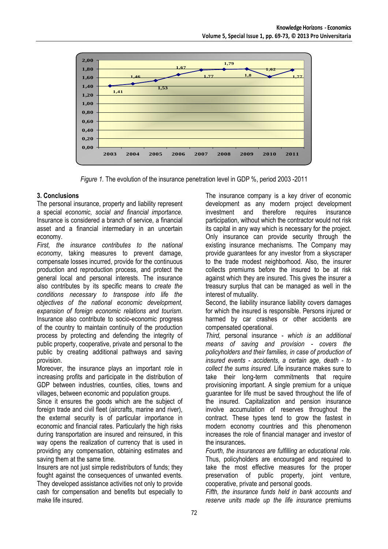

*Figure 1.* The evolution of the insurance penetration level in GDP %, period 2003 -2011

## **3. Conclusions**

The personal insurance, property and liability represent a special *economic, social and financial importance.* Insurance is considered a branch of service, a financial asset and a financial intermediary in an uncertain economy.

*First, the insurance contributes to the national economy*, taking measures to prevent damage, compensate losses incurred, provide for the continuous production and reproduction process, and protect the general local and personal interests. The insurance also contributes by its specific means to *create the conditions necessary to transpose into life the objectives of the national economic development, expansion of foreign economic relations and tourism*. Insurance also contribute to socio-economic progress of the country to maintain continuity of the production process by protecting and defending the integrity of public property, cooperative, private and personal to the public by creating additional pathways and saving provision.

Moreover, the insurance plays an important role in increasing profits and participate in the distribution of GDP between industries, counties, cities, towns and villages, between economic and population groups.

Since it ensures the goods which are the subject of foreign trade and civil fleet (aircrafts, marine and river), the external security is of particular importance in economic and financial rates. Particularly the high risks during transportation are insured and reinsured, in this way opens the realization of currency that is used in providing any compensation, obtaining estimates and saving them at the same time.

Insurers are not just simple redistributors of funds; they fought against the consequences of unwanted events. They developed assistance activities not only to provide cash for compensation and benefits but especially to make life insured.

The insurance company is a key driver of economic development as any modern project development investment and therefore requires insurance participation, without which the contractor would not risk its capital in any way which is necessary for the project. Only insurance can provide security through the existing insurance mechanisms. The Company may provide guarantees for any investor from a skyscraper to the trade modest neighborhood. Also, the insurer collects premiums before the insured to be at risk against which they are insured. This gives the insurer a treasury surplus that can be managed as well in the interest of mutuality.

Second, the liability insurance liability covers damages for which the insured is responsible. Persons injured or harmed by car crashes or other accidents are compensated operational.

*Third,* personal insurance *- which is an additional means of saving and provision - covers the policyholders and their families, in case of production of insured events - accidents, a certain age, death - to collect the sums insured.* Life insurance makes sure to take their long-term commitments that require provisioning important. A single premium for a unique guarantee for life must be saved throughout the life of the insured. Capitalization and pension insurance involve accumulation of reserves throughout the contract. These types tend to grow the fastest in modern economy countries and this phenomenon increases the role of financial manager and investor of the insurances**.**

*Fourth, the insurances are fulfilling an educational role.* Thus, policyholders are encouraged and required to take the most effective measures for the proper preservation of public property, joint venture, cooperative, private and personal goods.

*Fifth, the insurance funds held in bank accounts and reserve units made up the life insurance* premiums